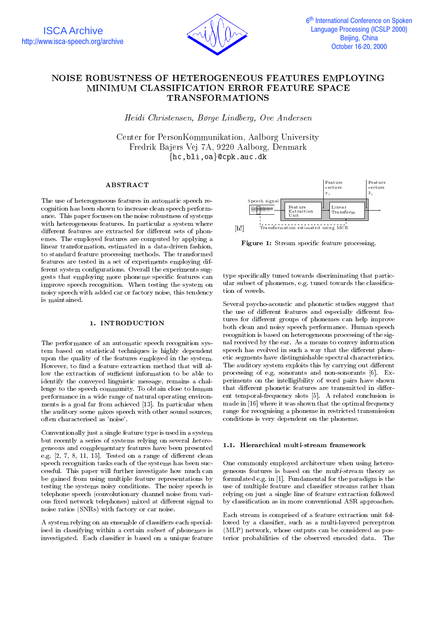

# NOISE ROBUSTNESS OF HETEROGENEOUS FEATURES EMPLOYING TRANSFORMATIONS

Heidi Christensen, Børge Lindberg, Ove Andersen

Center for PersonKommunikation, Aalborg University Fredrik Ba jers Vej 7A, 9220 Aalborg, Denmark  $\{hc, bli, oa\}$ @cpk.auc.dk

#### ABSTRACT

The use of heterogeneous features in automatic speech recognition has been shown to increase clean speech perform ance. This paper focuses on the noise robustness of systems with heterogeneous features. In particular a system where different features are extracted for different sets of phonemes. The employed features are computed by applying a linear transformation, estimated in a data-driven fashion, to standard feature processing methods. The transformed features are tested in a set of experiments employing different system configurations. Overall the experiments suggests that employing more phoneme specic features can improve speech recognition. When testing the system on noisy speech with added car or factory noise, this tendency is maintained.

## 1. INTRODUCTION

The performance of an automatic speech recognition system based on statistical techniques is highly dependent upon the quality of the features employed in the system. However, to find a feature extraction method that will allow the extraction of sufficient information to be able to identify the conveyed linguistic message, remains a challenge to the speech community. To obtain close to human performance in a wide range of natural operating environ ments is a goal far from achieved [13]. In particular when the auditory scene mixes speech with other sound sources, often characterised as 'noise'.

Conventionally just a single feature type is used in a system but recently a series of systems relying on several heterogeneous and complementary features have been presented e.g.  $[2, 7, 8, 11, 15]$ . Tested on a range of different clean speech recognition tasks each of the systems has been successful. This paper will further investigate how much can be gained from using multiple feature representations by testing the systems noisy conditions. The noisy speech is telephone speech (convolutionary channel noise from various fixed network telephones) mixed at different signal to noise ratios (SNRs) with factory or car noise.

A system relying on an ensemble of classiers each specialised in classifying within a certain subset of phonemes is investigated. Each classifier is based on a unique feature



Figure 1: Stream specific feature processing.

type specically tuned towards discriminating that particular subset of phonemes, e.g. tuned towards the classication of vowels.

Several psycho-acoustic and phonetic studies suggest that the use of different features and especially different features for different groups of phonemes can help improve both clean and noisy speech performance. Human speech recognition is based on heterogeneous processing of the signal received by the ear. As a means to convey information speech has evolved in such a way that the different phonetic segments have distinguishable spectral characteristics. The auditory system exploits this by carrying out different processing of e.g. sonorants and non-sonorants [6]. Experiments on the intelligibility of word pairs have shown that different phonetic features are transmitted in different temporal-frequency slots [5]. A related conclusion is made in [16] where it was shown that the optimal frequency range for recognising a phoneme in restricted transmission conditions is very dependent on the phoneme.

## 1.1. Hierarchical multi-stream framework

One commonly employed architecture when using heterogeneous features is based on the multi-stream theory as formulated e.g. in [1]. Fundamental for the paradigm is the use of multiple feature and classier streams rather than relying on just a single line of feature extraction followed by classication as in more conventional ASR approaches.

Each stream is comprised of a feature extraction unit followed by a classifier, such as a multi-layered perceptron (MLP) network, whose outputs can be considered as posterior probabilities of the observed encoded data. The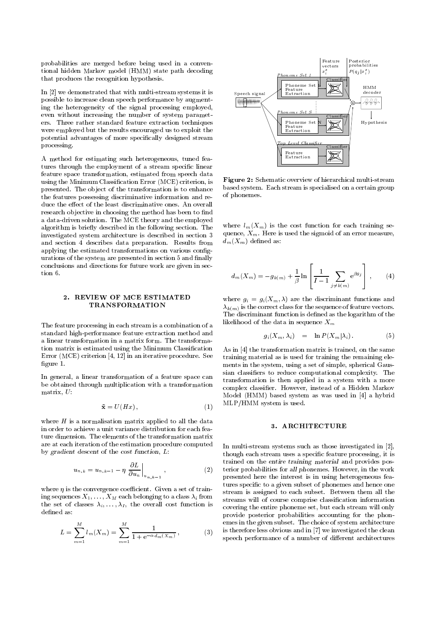probabilities are merged before being used in a conven tional hidden Markov model (HMM) state path decoding that produces the recognition hypothesis.

In [2] we demonstrated that with multi-stream systems it is possible to increase clean speech performance by augmenting the heterogeneity of the signal processing employed, even without increasing the number of system paramet ers. Three rather standard feature extraction techniques were employed but the results encouraged us to exploit the potential advantages of more specically designed stream processing.

A method for estimating such heterogeneous, tuned features through the employment of a stream specic linear feature space transformation, estimated from speech data using the Minimum Classication Error (MCE) criterion, is presented. The ob ject of the transformation is to enhance the features possessing discriminative information and reduce the effect of the least discriminative ones. An overall research objective in choosing the method has been to find a data-driven solution. The MCE theory and the employed algorithm is briefly described in the following section. The investigated system architecture is described in section 3 and section 4 describes data preparation. Results from applying the estimated transformations on various congurations of the system are presented in section 5 and finally conclusions and directions for future work are given in section 6.

#### 2. REVIEW OF MCE ESTIMATED TRANSFORMATION

The feature processing in each stream is a combination of a standard high-performance feature extraction method and a linear transformation in a matrix form. The transformation matrix is estimated using the Minimum Classication Error (MCE) criterion [4, 12] in an iterative procedure. See figure 1.

In general, a linear transformation of a feature space can be obtained through multiplication with a transformation matrix, U:

$$
\tilde{\mathbf{x}} = U(Hx), \tag{1}
$$

where  $H$  is a normalisation matrix applied to all the data in order to achieve a unit variance distribution for each feature dimension. The elements of the transformation matrix are at each iteration of the estimation procedure computed by gradient descent of the cost function, L:

$$
u_{n,k} = u_{n,k-1} - \eta \left. \frac{\partial L}{\partial u_n} \right|_{u_{n,k-1}}, \qquad (2)
$$

where  $\eta$  is the convergence coefficient. Given a set of training sequences  $X_1,\ldots,X_M$  each belonging to a class  $\lambda_i$  from the set of classes  $\lambda_i, \ldots, \lambda_I$ , the overall cost function is defined as:

$$
L = \sum_{m=1}^{M} l_m(X_m) = \sum_{m=1}^{M} \frac{1}{1 + e^{-\alpha d_m(X_m)}},
$$
 (3)  $\text{is the}$   
sp*e*



Figure 2: Schematic overview of hierarchical multi-stream based system. Each stream is specialised on a certain group of phonemes.

where  $l_m(X_m)$  is the cost function for each training sequence,  $X_m$ . Here is used the sigmoid of an error measure,  $d_m(X_m)$  defined as:

$$
d_m(X_m) = -g_{k(m)} + \frac{1}{\beta} \ln \left[ \frac{1}{I-1} \sum_{j \neq k(m)} e^{\beta g_j} \right], \qquad (4)
$$

where  $g_i = g_i(X_m, \lambda)$  are the discriminant functions and  $\lambda_{k(m)}$  is the correct class for the sequence of feature vectors. The discriminant function is defined as the logarithm of the likelihood of the data in sequence  $X_m$ 

$$
g_i(X_m, \lambda_i) = \ln P(X_m | \lambda_i). \tag{5}
$$

As in [4] the transformation matrix is trained, on the same training material as is used for training the remaining ele ments in the system, using a set of simple, spherical Gaussian classiers to reduce computational complexity. The transformation is then applied in a system with a more complex classier. However, instead of a Hidden Markov Model (HMM) based system as was used in [4] a hybrid MLP/HMM system is used.

## 3. ARCHITECTURE

 $(z)$  terior probabilities for all phonemes. However, in the work In multi-stream systems such as those investigated in [2], though each stream uses a specic feature processing, it is trained on the entire training material and provides pospresented here the interest is in using heterogeneous features specific to a given subset of phonemes and hence one stream is assigned to each subset. Between them all the streams will of course comprise classication information covering the entire phoneme set, but each stream will only provide posterior probabilities accounting for the phonemes in the given subset. The choice of system architecture is therefore less obvious and in [7] we investigated the clean speech performance of a number of different architectures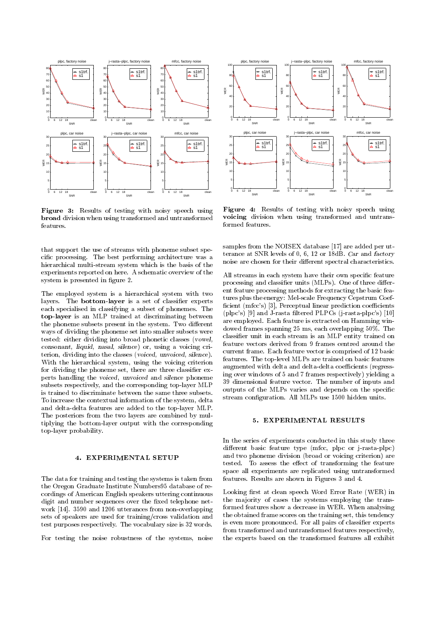

Figure 3: Results of testing with noisy speech using broad division when using transformed and untransformed

that support the use of streams with phoneme subset specic processing. The best performing architecture was a hierarchical multi-stream system which is the basis of the experiments reported on here. A schematic overview of the system is presented in figure 2.

The employed system is a hierarchical system with two layers. The **bottom-layer** is a set of classifier experts each specialised in classifying a subset of phonemes. The top-layer is an MLP trained at discriminating between the phoneme subsets present in the system. Two different ways of dividing the phoneme set into smaller subsets were tested: either dividing into broad phonetic classes (vowel, consonant, liquid, nasal, silence) or, using a voicing criterion, dividing into the classes (voiced, unvoiced, silence). With the hierarchical system, using the voicing criterion for dividing the phoneme set, there are three classifier experts handling the voiced, unvoiced and silence phoneme subsets respectively, and the corresponding top-layer MLP is trained to discriminate between the same three subsets. To increase the contextual information of the system, delta and delta-delta features are added to the top-layer MLP. The posteriors from the two layers are combined by multiplying the bottom-layer output with the corresponding top-layer probability.

#### 4. EXPERIMENTAL SETUP

The data for training and testing the systems is taken from the Oregon Graduate Institute Numbers95 database of recordings of American English speakers uttering continuous digit and number sequences over the fixed telephone network [14]. 3590 and 1206 utterances from non-overlapping sets of speakers are used for training/cross validation and test purposes respectively. The vocabulary size is 32 words.

For testing the noise robustness of the systems, noise



Figure 4: Results of testing with noisy speech using voicing division when using transformed and untransformed features

samples from the NOISEX database [17] are added per utterance at SNR levels of 0, 6, 12 or 18dB. Car and factory noise are chosen for their different spectral characteristics.

All streams in each system have their own specific feature processing and classifier units (MLPs). One of three different feature processing methods for extracting the basic features plus the energy: Mel-scale Frequency Cepstrum Coef ficient (mfcc's) [3], Perceptual linear prediction coefficients (plpc's) [9] and J-rasta filtered PLPCs (j-rasta-plpc's) [10] are employed. Each feature is extracted on Hamming windowed frames spanning 25 ms, each overlapping 50%. The classier unit in each stream is an MLP entity trained on feature vectors derived from 9 frames centred around the current frame. Each feature vector is comprised of 12 basic features. The top-level MLPs are trained on basic features augmented with delta and delta-delta coefficients (regressing over windows of 5 and 7 frames respectively) yielding a 39 dimensional feature vector. The number of inputs and outputs of the MLPs varies and depends on the specic stream conguration. All MLPs use 1500 hidden units.

# 5. EXPERIMENTAL RESULTS

In the series of experiments conducted in this study three different basic feature type (mfcc, plpc or j-rasta-plpc) and two phoneme division (broad or voicing criterion) are tested. To assess the effect of transforming the feature space all experiments are replicated using untransformed features. Results are shown in Figures 3 and 4.

Looking first at clean speech Word Error Rate (WER) in the ma jority of cases the systems employing the transformed features show a decrease in WER. When analysing the obtained frame scores on the training set, this tendency is even more pronounced. For all pairs of classifier experts from transformed and untransformed features respectively, the experts based on the transformed features all exhibit